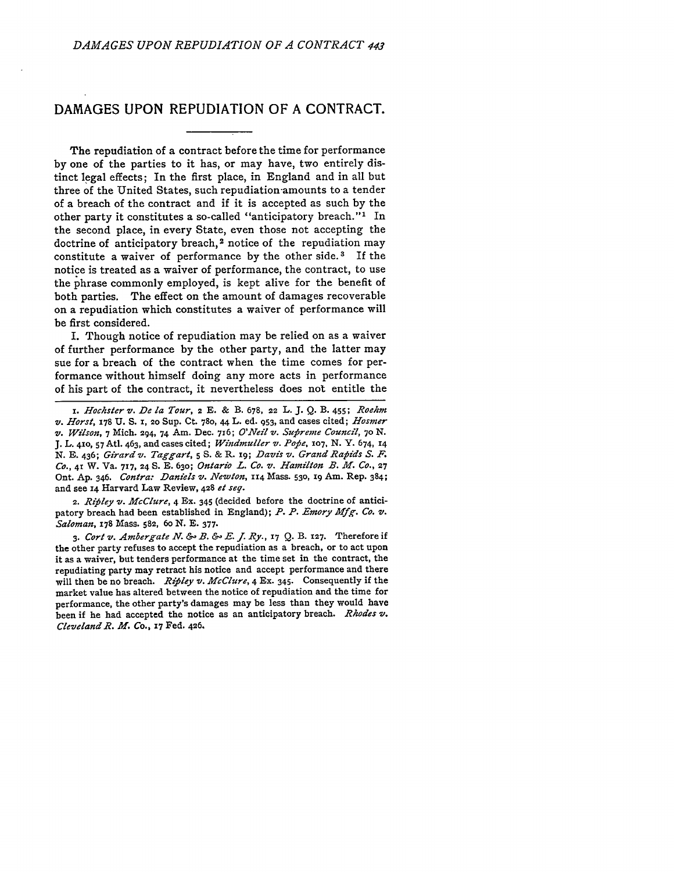The repudiation of a contract before the time for performance by one of the parties to it has, or may have, two entirely distinct legal effects; In the first place, in England and in all but three of the United States, such repudiation-amounts to a tender of a breach of the contract and if it is accepted as such by the other party it constitutes a so-called "anticipatory breach."' In the second place, in every State, even those not accepting the doctrine of anticipatory breach,<sup>2</sup> notice of the repudiation may constitute a waiver of performance by the other side. 3 If the notice is treated as a waiver of performance, the contract, to use the phrase commonly employed, is kept alive for the benefit of both parties. The effect on the amount of damages recoverable on a repudiation which constitutes a waiver of performance will be first considered.

I. Though notice of repudiation may be relied on as a waiver of further performance by the other party, and the latter may sue for a breach of the contract when the time comes for performance without himself doing any more acts in performance of his part of the contract, it nevertheless does not entitle the

*2. Rifiley v. McClure,* 4 Ex. 345 (decided before the doctrine of anticipatory breach had been established in England); *P. P. Emory Mfg. Co. v. Saloman,* **178** Mass. 582, 6o N. **E.** 377.

*3. Cort v. Ambergate N. &- B. &- E. J. Ry.,* **17** Q. B. **127.** Therefore if the other party refuses to accept the repudiation as a breach, or to act upon it as a waiver, but tenders performance at the time set in the contract, the repudiating party may retract his notice and accept performance and there will then be no breach. *Rifiley v. McClure,* 4 Ex. 345. Consequently if the market value has altered between the notice of repudiation and the time for performance, the other party's damages may be less than they would have been if he had accepted the notice as an anticipatory breach. *Rhodes v. Cleveland.R. M. Co.,* 17 Fed. 426.

*i. Hochster v. De la Tour,* 2 **E.** & B. 678, 22 L.J. Q. B. 455; *Roehm v. Horst,* 178 **U. S. i, 20** Sup. Ct. **780,** 44 L. ed. 953, and cases cited; *Hosmer v. Wilson,* 7 Mich. 294, 74 Am. Dec. 716; *O'Neil v. Sufireme Council, 7o* N. J. L. **410, 57** At. 463, and cases cited; *Windmuller v. Pofie,* **107,** N. Y. 674, 14 **N. E.** 436; *Girard v. Taggart,* **5** S. & R. i9; *Davis v. Grand Rapids S. F. Co.,* **41** W. Va. **717,** 24 **S. E.** 630; *Ontario L. Co. v. Hamilton B. M. Co.,* **<sup>27</sup>** Ont. Ap. 346. *Contra: Daniels v. Newton,* **II4** Mass. 530, **i9** Am. Rep. 384; and see **14** Harvard Law Review, 428 *et seq.*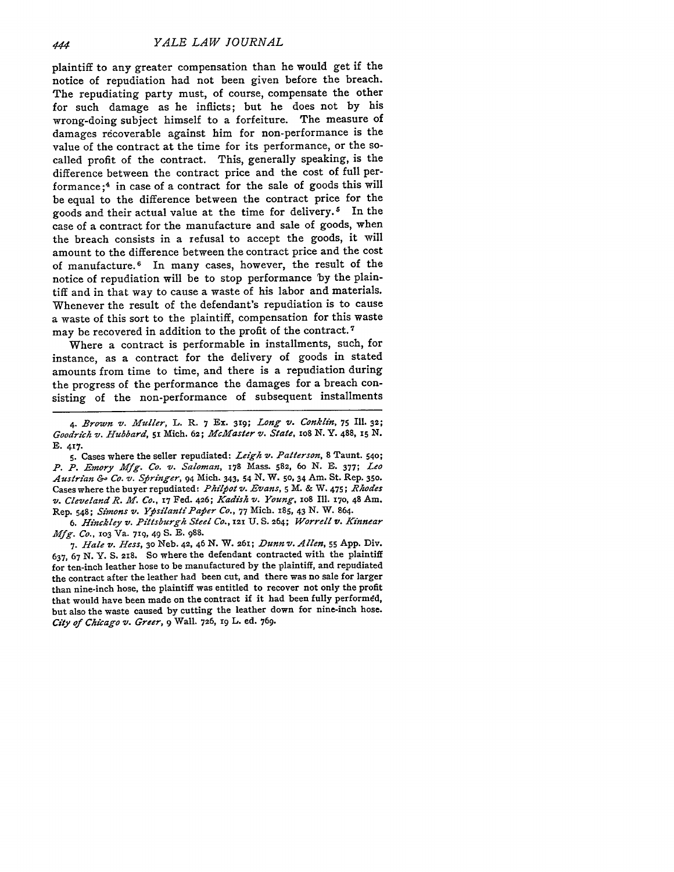plaintiff to any greater compensation than he would get if the notice of repudiation had not been given before the breach. The repudiating party must, of course, compensate the other for such damage as he inflicts; but he does not by his wrong-doing subject himself to a forfeiture. The measure of damages recoverable against him for non-performance is the value of the contract at the time for its performance, or the socalled profit of the contract. This, generally speaking, is the difference between the contract price and the cost of full performance;4 in case of a contract for the sale of goods this will be equal to the difference between the contract price for the goods and their actual value at the time for delivery. **<sup>5</sup>**In the case of a contract for the manufacture and sale of goods, when the breach consists in a refusal to accept the goods, it will amount to the difference between the contract price and the cost of manufacture. 6 In many cases, however, the result of the notice of repudiation will be to stop performance by the plaintiff and in that way to cause a waste of his labor and materials. Whenever the result of the defendant's repudiation is to cause a waste of this sort to the plaintiff, compensation for this waste may be recovered in addition to the profit of the contract. **<sup>7</sup>**

Where a contract is performable in installments, such, for instance, as a contract for the delivery of goods in stated amounts from time to time, and there is a repudiation during the progress of the performance the damages for a breach consisting of the non-performance of subsequent installments

*6. Hinckley v. Pittsburgh Steel Co.,* **121** U. **S.** 264; *Worrell v. Kinnear Mfg. Co.,* **103** Va. *719,* 49 S. **E.** 988.

*7. Hale v. Hess, 30* Neb. 42, 46 N. W. 261; *Dunnv. Allen,* 55 App. Div. 637, 67 N. Y. S. **218.** So where the defendant contracted with the plaintiff for ten-inch leather hose to be manufactured by the plaintiff, and repudiated the contract after the leather had been cut, and there was no sale for larger than nine-inch hose, the plaintiff was entitled to recover not only the profit that would have been made on the contract if it had been fully performed, but also the waste caused by cutting the leather down for nine-inch hose. *City of Chicago v. Greer, 9* Wall. **726, x9** L. ed. **769.**

*<sup>4.</sup> Brown v. Muller,* L. R. 7 Ex. **319;** *Long v. Conklin,* 75 Ill. **32;** *Goodrich v. Hubbard,* **5I** Mich. **62;** *McMaster v. State, io8* **N. Y. 488,** 15 **N.** E. 417.

**<sup>5.</sup>** Cases where the seller repudiated: *Leigh v. Patterson,* 8 Taunt. 540; *P. P. Emory Mfg. Co.* v. *Saloman,* **178** Mass. **582,** 6o N. **E. 377;** *Leo Austrian & Co. v. Sfiringer,* 94 Mich. 343, 54 **N.** W. **50,** 34 Am. St. Rep. **350.** Cases where the buyer repudiated: *Philpot v. Evans,* **5** M. & W. 475; *Rhodes v. Cleveland R. M. Co.,* **17** Fed. 426; *Kadish v. Young.* 1o8 Ill. **170,** 48 Am. Rep. 548; *Simons v. YfisilantiPafier Co.,* 77 Mich. i85, 43 **N.** W. 864.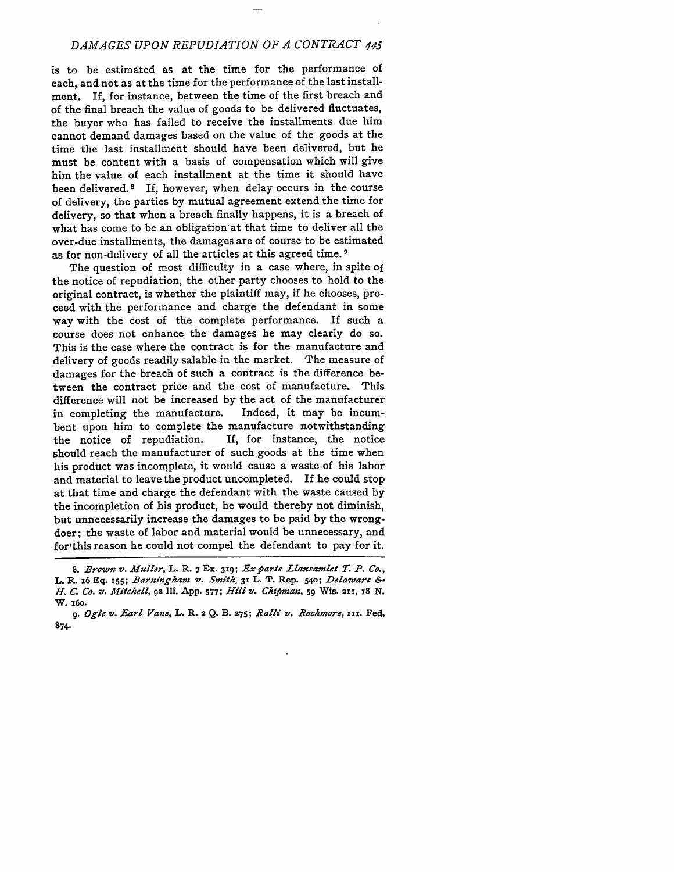is to be estimated as at the time for the performance of each, and not as at the time for the performance of the last installment. If, for instance, between the time of the first breach and of the final breach the value of goods to be delivered fluctuates, the buyer who has failed to receive the installments due him cannot demand damages based on the value of the goods at the time the last installment should have been delivered, but he must be content with a basis of compensation which will give him the value of each installment at the time it should have been delivered.<sup>8</sup> If, however, when delay occurs in the course of delivery, the parties by mutual agreement extend the time for delivery, so that when a breach finally happens, it is a breach of what has come to be an obligation at that time to deliver all the over-due installments, the damages are of course to be estimated as for non-delivery of all the articles at this agreed time. **9**

The question of most difficulty in a case where, in spite of the notice of repudiation, the other party chooses to hold to the original contract, is whether the plaintiff may, if he chooses, proceed with the performance and charge the defendant in some way with the cost of the complete performance. If such a course does not enhance the damages he may clearly do so. This is the case where the contract is for the manufacture and delivery of goods readily salable in the market. The measure of damages for the breach of such a contract is the difference between the contract price and the cost of manufacture. This difference will not be increased by the act of the manufacturer in completing the manufacture. Indeed, it may be incumbent upon him to complete the manufacture notwithstanding<br>the notice of repudiation. If, for instance, the notice the notice of repudiation. should reach the manufacturer of such goods at the time when his product was incomplete, it would cause a waste of his labor and material to leave the product uncompleted. If he could stop at that time and charge the defendant with the waste caused by the incompletion of his product, he would thereby not diminish, but unnecessarily increase the damages to be paid by the wrongdoer; the waste of labor and material would be unnecessary, and for' this reason he could not compel the defendant to pay for it.

<sup>8.</sup> *Brown v. Muller*, L. R. 7 Ex. 319; *Ex parte Llansamlet T. P. Co.*, L. R. x6 **Eq.** 155; *Barningham v. Smith,* **3** L. T. Rep. **540;** *Delaware &- Hl. C. Co. v. Michell,* **92** IlI. App. 577; *Hill v. Chifiman,* 59 Wis. **211,** i8 N. W. **z6o.**

**<sup>9.</sup>** *Ogle v. Earl Vane,* L. R. **2 Q.** B. **275;** *.Ralli v. Rockmore, xxx.* Fed.874.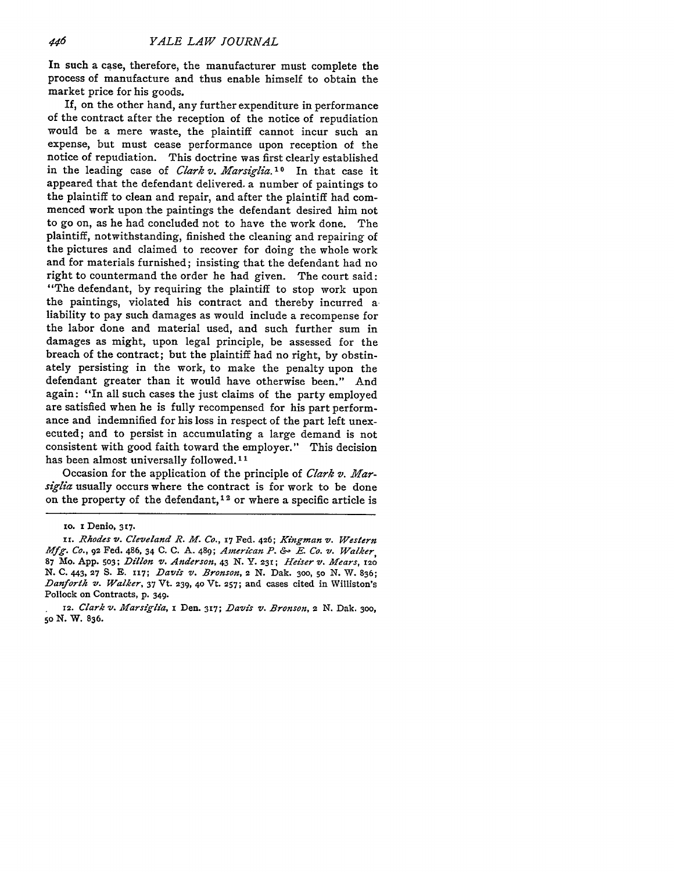In such a case, therefore, the manufacturer must complete the process of manufacture and thus enable himself to obtain the market price for his goods.

If, on the other hand, any further expenditure in performance of the contract after the reception of the notice of repudiation would be a mere waste, the plaintiff cannot incur such an expense, but must cease performance upon reception of the notice of repudiation. This doctrine was first clearly established in the leading case of *Clark v. Marsiglia*.<sup>10</sup> In that case it appeared that the defendant delivered, a number of paintings to the plaintiff to clean and repair, and after the plaintiff had commenced work upon the paintings the defendant desired him not to go on, as he had concluded not to have the work done. The plaintiff, notwithstanding, finished the cleaning and repairing of the pictures and claimed to recover for doing the whole work and for materials furnished; insisting that the defendant had no right to countermand the order he had given. The court said: "The defendant, by requiring the plaintiff to stop work upon the paintings, violated his contract and thereby incurred a liability to pay such damages as would include a recompense for the labor done and material used, and such further sum in damages as might, upon legal principle, be assessed for the breach of the contract; but the plaintiff had no right, by obstinately persisting in the work, to make the penalty upon the defendant greater than it would have otherwise been." And again: "In all such cases the just claims of the party employed are satisfied when he is fully recompensed for his part performance and indemnified for his loss in respect of the part left unexecuted; and to persist in accumulating a large demand is not consistent with good faith toward the employer." This decision has been almost universally followed.<sup>11</sup>

Occasion for the application of the principle of *Clark v. Marsiglia* usually occurs where the contract is for work to be done on the property of the defendant, **12** or where a specific article is

io. **z** Denio, **317.**

*ir. Rhodes v. Cleveland R. M. Co.,* **17** Fed. **426;** *Kingman v. Western Mfg. Co.,* 92 Fed. 486, 34 **C.** C. **A.** 489; *American P. & E. Co. v. Walker* 87 Mo. App. 503; *Dillon v. Anderson*, 43 N. Y. 231; *Heiser v. Mears*, 120 N. C. *443,* **27** S. E. *17; Davis v. Bronson,* 2 N. Dak. **300, So** N. W. 836; *Danforth v. Walker,* 37 Vt. **239, 40** Vt. **257;** and cases cited in Williston's Pollock on Contracts, p. 349.

*<sup>12.</sup> Clark v. Marsiglia,* x Den. 317; *Davis v. Bronson,* 2 N. Dak. **300, 5o N.** W. **836.**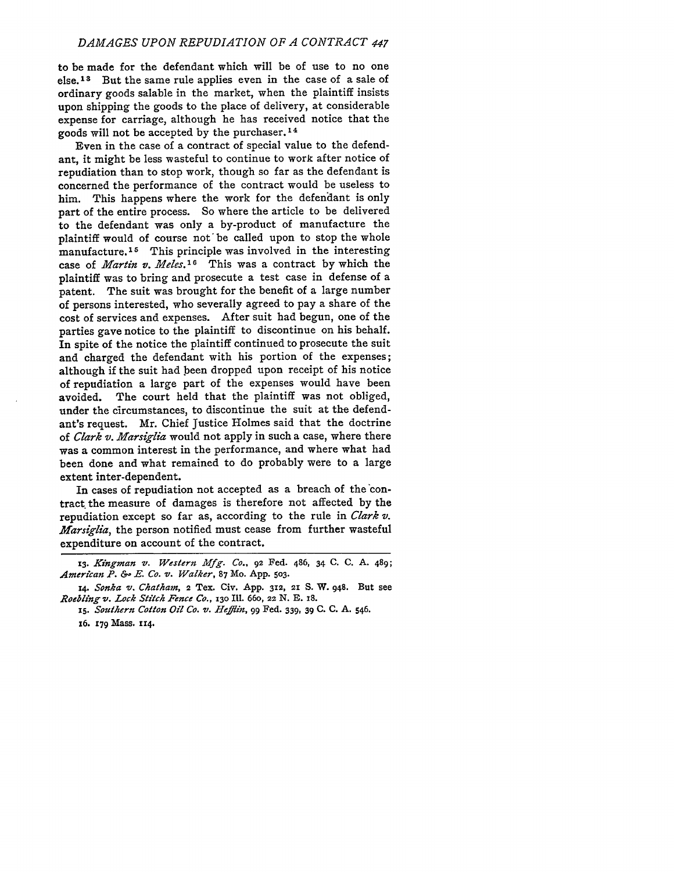to be made for the defendant which will be of use to no one else.<sup>13</sup> But the same rule applies even in the case of a sale of ordinary goods salable in the market, when the plaintiff insists upon shipping the goods to the place of delivery, at considerable expense for carriage, although he has received notice that the goods will not be accepted by the purchaser. 14

Even in the case of a contract of special value to the defendant, it might be less wasteful to continue to work after notice of repudiation than to stop work, though so far as the defendant is concerned the performance of the contract would be useless to him. This happens where the work for the defendant is only part of the entire process. So where the article to be delivered to the defendant was only a by-product of manufacture the plaintiff would of course not" be called upon to stop the whole manufacture.<sup>15</sup> This principle was involved in the interesting case of *Martin v. Meles*.<sup>16</sup> This was a contract by which the plaintiff was to bring and prosecute a test case in defense of a patent. The suit was brought for the benefit of a large number of persons interested, who severally agreed to pay a share of the cost of services and expenses. After suit had begun, one of the parties gave notice to the plaintiff to discontinue on his behalf. In spite of the notice the plaintiff continued to prosecute the suit and charged the defendant with his portion of the expenses; although if the suit had been dropped upon receipt of his notice of repudiation a large part of the expenses would have been avoided. The court held that the plaintiff was not obliged, under the circumstances, to discontinue the suit at the defendant's request. Mr. Chief Justice Holmes said that the doctrine of *Clark v. Marsiglia* would not apply in such a case, where there was a common interest in the performance, and where what had been done and what remained to do probably were to a large extent inter-dependent.

In cases of repudiation not accepted as a breach of the contract the measure of damages is therefore not affected by the repudiation except so far as, according to the rule in *Clark v. Marsiglia,* the person notified must cease from further wasteful expenditure on account of the contract.

*x3. Kingtman v. Western Mfg. Co.,* 92 Fed. 486, 34 **C. C. A.** 489; *American P. &- E. Co. v. Walker,* 87 Mo. App. **503.**

*<sup>14.</sup> Sonka v. Chatham,* 2 Tex. Civ. **App.** 312, **21** S. W. 948. But see *Roebling v. Lock Stitch Fence Co.,* **130** Ill. 660, 22 **N.** *E.* **18.**

*x5. Southern Cotton Oil Co. v. Hefflin, 99* Fed. 339, **39 C. C. A.** 546. 6. **179** Mass. **114.**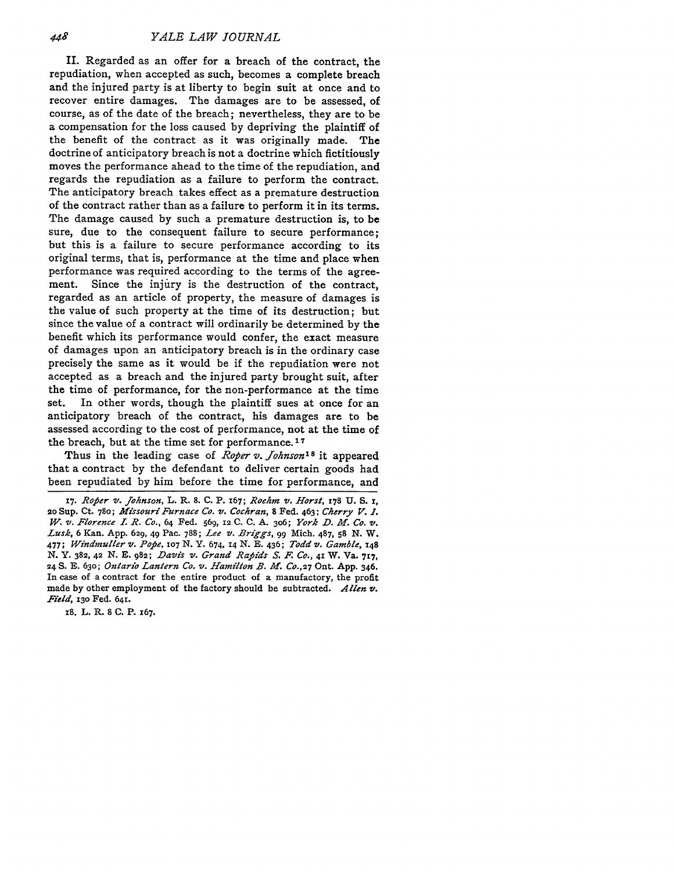II. Regarded as an offer for a breach of the contract, the repudiation, when accepted as such, becomes a complete breach and the injured party is at liberty to begin suit at once and to recover entire damages. The damages are to be assessed, of course, as of the date of the breach; nevertheless, they are to be a compensation for the loss caused by depriving the plaintiff of the benefit of the contract as it was originally made. The doctrine of anticipatory breach is not a doctrine which fictitiously moves the performance ahead to the time of the repudiation, and regards the repudiation as a failure to perform the contract. The anticipatory breach takes effect as a premature destruction of the contract rather than as a failure to perform it in its terms. The damage caused by such a premature destruction is, to be sure, due to the consequent failure to secure performance; but this is a failure to secure performance according to its original terms, that is, performance at the time and place when performance was required according to the terms of the agreement. Since the injury is the destruction of the contract, regarded as an article of property, the measure of damages is the value of such property at the time of its destruction; but since the value of a contract will ordinarily be determined by the benefit which its performance would confer, the exact measure of damages upon an anticipatory breach is in the ordinary case precisely the same as it would be if the repudiation were not accepted as a breach and the injured party brought suit, after the time of performance, for the non-performance at the time set. In other words, though the plaintiff sues at once for an anticipatory breach of the contract, his damages are to be assessed according to the cost of performance, not at the time of the breach, but at the time set for performance. **17**

Thus in the leading case of *Roper v. Johnson*<sup>18</sup> it appeared that a contract by the defendant to deliver certain goods had been repudiated by him before the time for performance, and

**z8.** L. R. **8 C.** P. **x67.**

*<sup>17.</sup> Roper v. Johnson,* L. R. **8. C.** P. **167;** *Roehm v. Horst,* **178 U. S. x, 20** Sup. **Ct. 780;** *Missouri Furnace Co. v. Cochran,* 8 Fed. 463; *Cherry V. 1. W. v. Florence 1. R. Co.,* 64 Fed. 569, **12 C. C. A.** 306; *York D. M. Co. v'. Lusk,* 6 Kan. App. **629,** 49 Pac. 788; *Lee v. Briggs,* 99 Mich. **487,** 58 **N.** W. **477;** *Windmuller v. Pope, 107* N. Y. 674, **14 N. E.** 436; *Todd v. Gamble, 148* **N. Y. 382, 42 N. E.** 982; *Davis v. Grand Rapids S. F Co.,* 4r **W.** Va. **717,** 24 **S. E.** 630; *Ontario Lantern Co. v. Hamilton B. M.* **Co.,27** Ont. App. 346. In case of a contract for the entire product of a manufactory, the profit made **by** other employment of the factory should be subtracted. *Allen v. Field,* **130** Fed. 64r.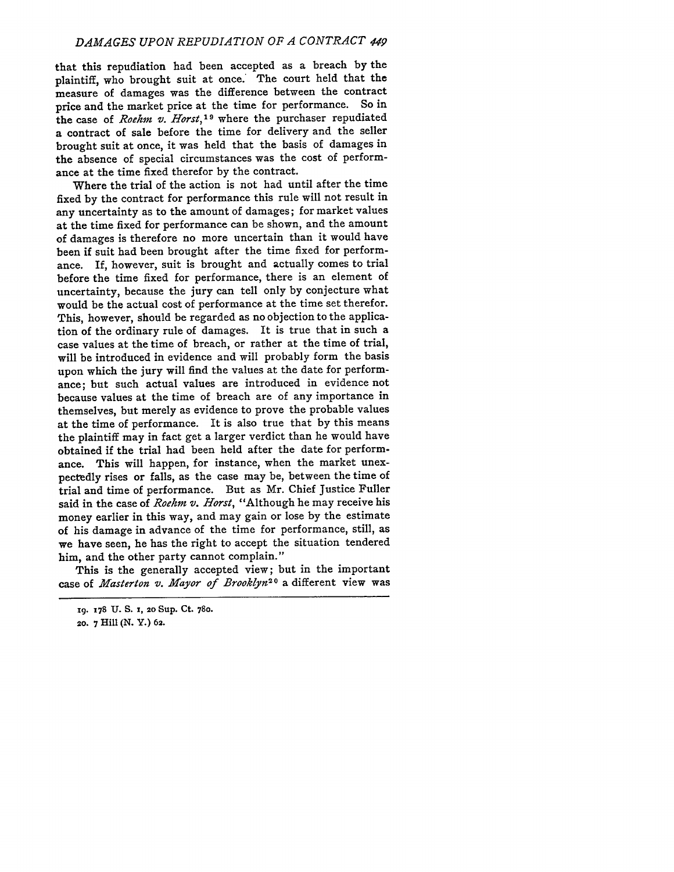that this repudiation had been accepted as a breach by the plaintiff, who brought suit at once. The court held that the measure of damages was the difference between the contract price and the market price at the time for performance. So in the case of *Roekm v. Horst,19* where the purchaser repudiated a contract of sale before the time for delivery and the seller brought suit at once, it was held that the basis of damages in the absence of special circumstances was the cost of performance at the time fixed therefor by the contract.

Where the trial of the action is not had until after the time fixed by the contract for performance this rule will not result in any uncertainty as to the amount of damages; for market values at the time fixed for performance can be shown, and the amount of damages is therefore no more uncertain than it would have been if suit had been brought after the time fixed for performance. If, however, suit is brought and actually comes to trial before the time fixed for performance, there is an element of uncertainty, because the jury can tell only by conjecture what would be the actual cost of performance at the time set therefor. This, however, should be regarded as no objection to the application of the ordinary rule of damages. It is true that in such a case values at the time of breach, or rather at the time of trial, will be introduced in evidence and will probably form the basis upon which the jury will find the values at the date for performance; but such actual values are introduced in evidence not because values at the time of breach are of any importance in themselves, but merely as evidence to prove the probable values at the time of performance. It is also true that by this means the plaintiff may in fact get a larger verdict than he would have obtained if the trial had been held after the date for performance. This will happen, for instance, when the market unexpectedly rises or falls, as the case may be, between the time of trial and time of performance. But as Mr. Chief Justice Fuller said in the case of *Roehm v. Horst,* "Although he may receive his money earlier in this way, and may gain or lose by the estimate of his damage in advance of the time for performance, still, as we have seen, he has the right to accept the situation tendered him, and the other party cannot complain."

This is the generally accepted view; but in the important case of *Masterton v. Mayor of Brooklyn2 <sup>0</sup>*a different view was

**<sup>19. 178</sup> U. S. 1, 20 Sup.** Ct. **780.**

**<sup>20.</sup>** 7 Hill **(N.** Y.) **62.**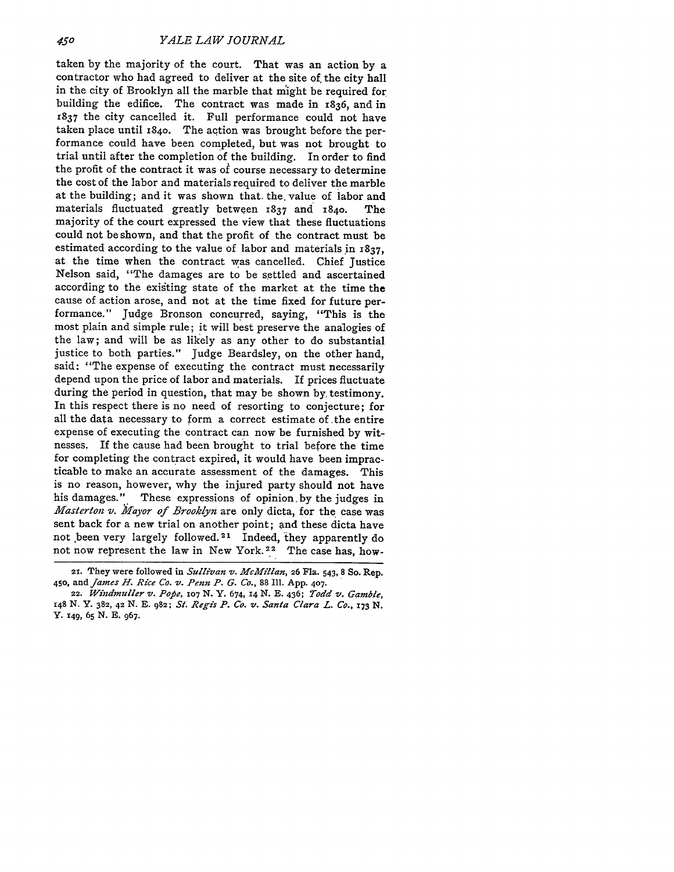taken by the majority of the court. That was an action by a contractor who had agreed to deliver at the site of, the city hall in the city of Brooklyn all the marble that m'ight be required for building the edifice. The contract was made in **x836,** and in 1837 the city cancelled it. Full performance could not have taken place until **1840.** The action was brought before the performance could have been completed, but was not brought to trial until after the completion of the building. In order to find the profit of the contract it was of course necessary to determine the cost of the labor and materials required to deliver the marble at the building; and it was shown that. the, value of labor and materials fluctuated greatly between 1837 and **1840.** The majority of the court expressed the view that these fluctuations could not be shown, and that the profit of the contract must be estimated according to the value of labor and materials in 1837, at the time when the contract was cancelled. Chief Justice Nelson said, "The damages are to be settled and ascertained according to the existing state of the market at the time the cause of action arose, and not at the time fixed for future performance." Judge Bronson concurred, saying, "This is the most plain and simple rule; it will best preserve the analogies of the law; and will be as likely as any other to do substantial justice to both parties." Judge Beardsley, on the other hand, said: "The expense of executing the contract must necessarily depend upon the price of labor and materials. If prices fluctuate during the period in question, that may be shown *by.* testimony. In this respect there is no need of resorting to conjecture; for all the data necessary to form a correct estimate of the entire expense of executing the contract can now be furnished by witnesses. If the cause had been brought to trial before the time for completing the contract expired, it would have been impracticable to make an accurate assessment of the damages. This is no reason, however, why the injured party should not have his damages." These expressions of opinion by the judges in *Masterton v. iAfayor of Brooklyn* are only dicta, for the case was sent back for a new trial on another point; and these dicta have not been very largely followed.<sup>21</sup> Indeed, they apparently do not now represent the law in New York.<sup>22</sup> The case has, how-

**<sup>21.</sup>** They were followed in *Sullivan v. McMillan,* **26** Fla. 543, **8** So. Rep. **45o,** *and James H. Rice Co. v. Penn P. G. Co.,* **88** Ill. **App.** 407.

*<sup>22.</sup> Windmuller v. Pofie, 1O7* **N.** Y. 674, **14 N. E.** 436; *Todd v. Gamble,* **148 N. Y. 382,** *4z* **N. E. 982;** *St. Regis P. Co. v. Santa Clara L. CO.,* **173 N. Y.** 149, 6s **N. E. 967.**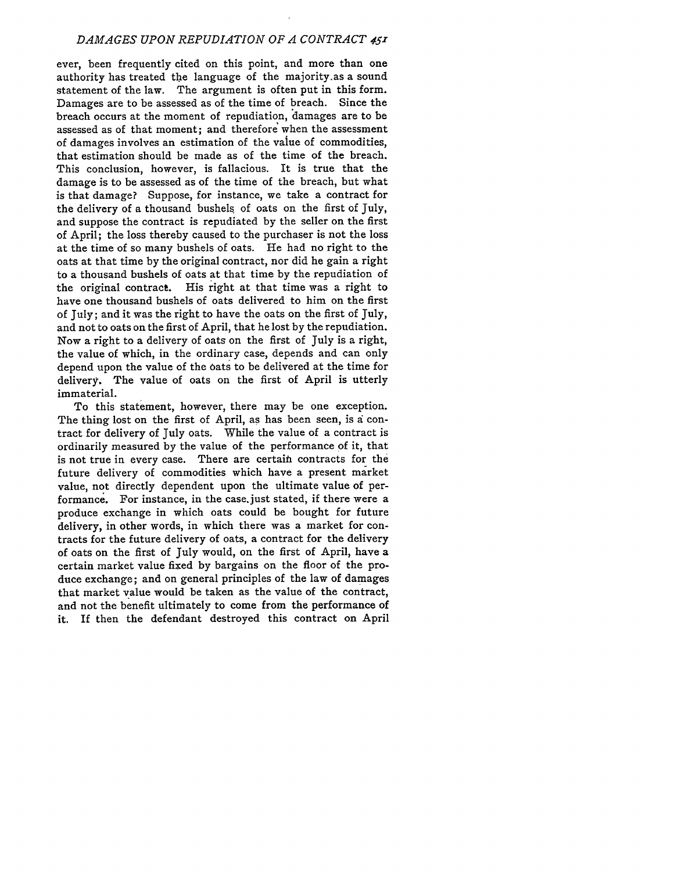ever, been frequently cited on this point, and more than one authority has treated the language of the majority.as a sound statement of the law. The argument is often put in this form. Damages are to be assessed as of the time of breach. Since the breach occurs at the moment of repudiation, damages are to be assessed as of that moment; and therefore when the assessment of damages involves an estimation of the value of commodities, that estimation should be made as of the time of the breach. This conclusion, however, is fallacious. It is true that the damage is to be assessed as of the time of the breach, but what is that damage? Suppose, for instance, we take a contract for the delivery of a thousand bushels of oats on the first of July, and suppose the contract is repudiated by the seller on the first of April; the loss thereby caused to the purchaser is not the loss at the time of so many bushels of oats. He had no right to the oats at that time by the original contract, nor did he gain a right to a thousand bushels of oats at that time by the repudiation of the original contract. His right at that time was a right to have one thousand bushels of oats delivered to him on the first of July; and it was the right to have the oats on the first of July, and not to oats on the first of April, that he lost by the repudiation. Now a right to a delivery of oats on the first of July is a right, the value of which, in the ordinary case, depends and can only depend upon the value of the Oats to be delivered at the time for delivery. The value of oats on the first of April is utterly immaterial.

To this statement, however, there may be one exception. The thing lost on the first of April, as has been seen, is a contract for delivery of July oats. While the value of a contract is ordinarily measured by the value of the performance of it, that is not true in every case. There are certain contracts for the future delivery of commodities which have a present market value, not directly dependent upon the ultimate value of performance. For instance, in the case.just stated, if there were a produce exchange in which oats could be bought for future delivery, in other words, in which there was a market for contracts for the future delivery of oats, a contract for the delivery of oats on the first of July would, on the first of April, have a certain market value fixed by bargains on the floor of the produce exchange; and on general principles of the law of damages that market value would be taken as the value of the contract, and not the benefit ultimately to come from the performance of it. If then the defendant destroyed this contract on April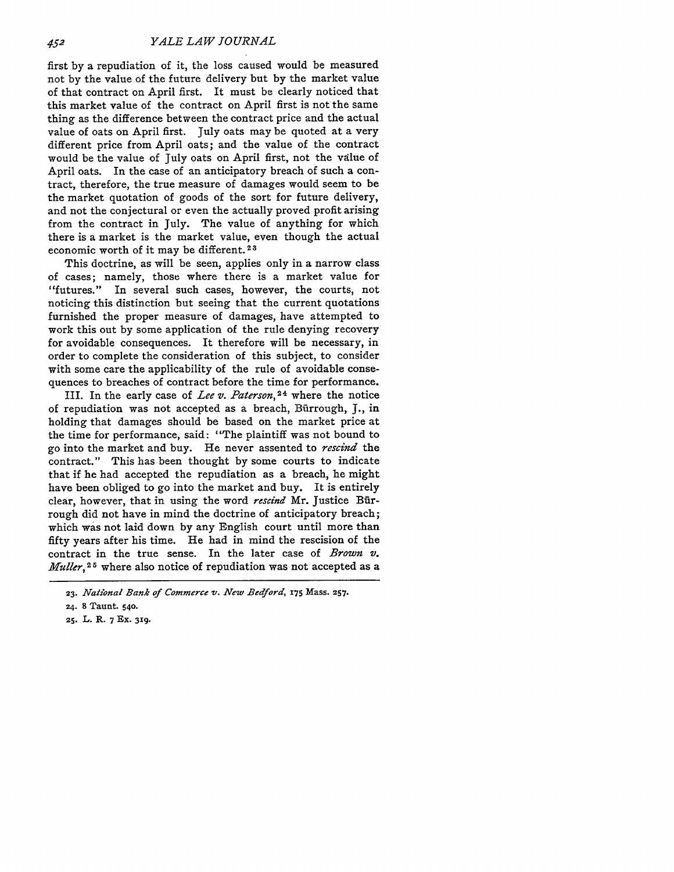first by a repudiation of it, the loss caused would be measured not by the value of the future delivery but by the market value of that contract on April first. It must be clearly noticed that this market value of the contract on April first is not the same thing as the difference between the contract price and the actual value of oats on April first. July oats may be quoted at a very different price from April oats; and the value of the contract would be the value of July oats on April first, not the value of April oats. In the case of an anticipatory breach of such a contract, therefore, the true measure of damages would seem to be the market quotation of goods of the sort for future delivery, and not the conjectural or even the actually proved profit arising from the contract in July. The value of anything for which there is a market is the market value, even though the actual economic worth of it may be different. **2,3**

This doctrine, as will be seen, applies only in a narrow class of cases; namely, those where there is a market value for "futures." In several such cases, however, the courts, not noticing this distinction but seeing that the current quotations furnished the proper measure of damages, have attempted to work this out by some application of the rule denying recovery for avoidable consequences. It therefore will be necessary, in order to complete the consideration of this subject, to consider with some care the applicability of the rule of avoidable consequences to breaches of contract before the time for performance.

III. In the early case of *Lee v. Paterson*,<sup>24</sup> where the notice of repudiation was not accepted as a breach, Bürrough, J., in holding that damages should be based on the market price at the time for performance, said: "The plaintiff was not bound to go into the market and buy. He never assented to *rescind* the contract." This has been thought by some courts to indicate that if he had accepted the repudiation as a breach, he might have been obliged to go into the market and buy. It is entirely clear, however, that in using the word *rescind* Mr. Justice Būrrough did not have in mind the doctrine of anticipatory breach; which was not laid down by any English court until more than fifty years after his time. He had in mind the rescision of the contract in the true sense. In the later case of *Brown v. Muller*, <sup>25</sup> where also notice of repudiation was not accepted as a

*<sup>23.</sup> National Bank of Commerce v. New Bedford,* **175** Mass. **257.**

<sup>24. 8</sup> Taunt. **540.**

**<sup>25.</sup>** L. R. 7 Ex. **319.**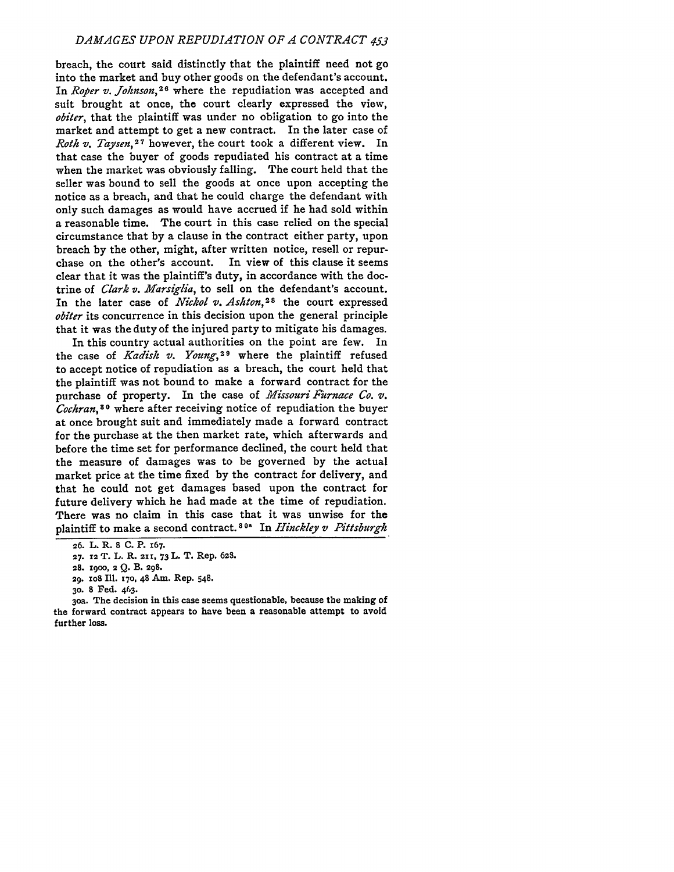breach, the court said distinctly that the plaintiff need not go into the market and buy other goods on the defendant's account. In *Roper v. Johnson,26* where the repudiation was accepted and suit brought at once, the court clearly expressed the view, *obiter,* that the plaintiff was under no obligation to go into the market and attempt to get a new contract. In the later case of *Roth v. Taysen, <sup>2</sup> <sup>7</sup>*however, the court took a different view. In that case the buyer of goods repudiated his contract at a time when the market was obviously falling. The court held that the seller was bound to sell the goods at once upon accepting the notice as a breach, and that he could charge the defendant with only such damages as would have accrued if he had sold within a reasonable time. The court in this case relied on the special circumstance that by a clause in the contract either party, upon breach by the other, might, after written notice, resell or repurchase on the other's account. In view of this clause it seems clear that it was the plaintiff's duty, in accordance with the doctrine of *Clark v. Marsigflia,* to sell on the defendant's account. In the later case of *Nickol v. Ashton*,<sup>28</sup> the court expressed *obiter* its concurrence in this decision upon the general principle that it was the duty of the injured party to mitigate his damages.

In this country actual authorities on the point are few. In the case of *Kadish v. Young, <sup>2</sup> <sup>9</sup>*where the plaintiff refused to accept notice of repudiation as a breach, the court held that the plaintiff was not bound to make a forward contract for the purchase of property. In the case of *Missouri Furnace Co. v. Cochran, 8 0* where after receiving notice of repudiation the buyer at once brought suit and immediately made a forward contract for the purchase at the then market rate, which afterwards and before the time set for performance declined, the court held that the measure of damages was to be governed **by** the actual market price at the time fixed **by** the contract for delivery, and that he could not get damages based upon the contract for future delivery which he had made at the time of repudiation. There was no claim in this case that it was unwise for the plaintiff to make a second contract. **S Oa** In *Hinckley v Pittsburgh*

3oa. The decision in this case seems questionable, because the making of the forward contract appears to have been a reasonable attempt to avoid further loss.

**<sup>26.</sup>** L. R. **8 C.** P. **x67.**

**<sup>27. 12</sup>** T. L. R. **211, 73** L. T. Rep. **628.**

**<sup>28.</sup> 1900, 2 Q.** B. **298.**

**<sup>29.</sup> xo8** Ill. **17o.** 48 Am. Rep. 548.

**<sup>30.</sup>** 8 Fed. 463.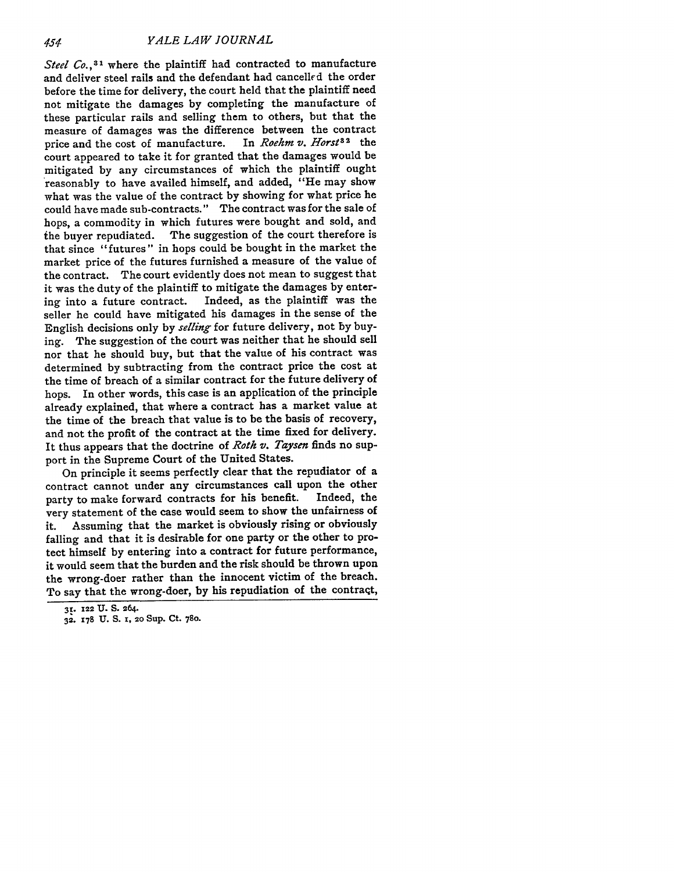*Steel Co., <sup>3</sup> <sup>1</sup>*where the plaintiff had contracted to manufacture and deliver steel rails and the defendant had cancelled the order before the time for delivery, the court held that the plaintiff need not mitigate the damages by completing the manufacture of these particular rails and selling them to others, but that the measure of damages was the difference between the contract price and the cost of manufacture. In Roehm v. Horst<sup>82</sup> the price and the cost of manufacture. court appeared to take it for granted that the damages would be mitigated by any circumstances of which the plaintiff ought reasonably to have availed himself, and added, "He may show what was the value of the contract **by** showing for what price he could have made sub-contracts." The contract was for the sale of hops, a commodity in which futures were bought and sold, and the buyer repudiated. The suggestion of the court therefore is that since "futures" in hops could be bought in the market the market price of the futures furnished a measure of the value of the contract. The court evidently does not mean to suggest that it was the duty of the plaintiff to mitigate the damages by enter-<br>ing into a future contract. Indeed, as the plaintiff was the Indeed, as the plaintiff was the seller he could have mitigated his damages in the sense of the English decisions only by *selling* for future delivery, not by buying. The suggestion of the court was neither that he should sell nor that he should buy, but that the value of his contract was determined by subtracting from the contract price the cost at the time of breach of a similar contract for the future delivery of hops. In other words, this case is an application of the principle already explained, that where a contract has a market value at the time of the breach that value is to be the basis of recovery, and not the profit of the contract at the time fixed for delivery. It thus appears that the doctrine of *Roth v. Taysen* finds no support in the Supreme Court of the United States.

On principle it seems perfectly clear that the repudiator of a contract cannot under any circumstances call upon the other<br>narty to make forward contracts for his benefit. Indeed, the party to make forward contracts for his benefit. very statement of the case would seem to show the unfairness of it. Assuming that the market is obviously rising or obviously falling and that it is desirable for one party or the other to protect himself by entering into a contract for future performance, it would seem that the burden and the risk should be thrown upon the wrong-doer rather than the innocent victim of the breach. To say that the wrong-doer, **by** his repudiation of the contract,

**<sup>31.</sup> 122 U. S. 264.**

**<sup>32.</sup> 178 U. S.** *i,* **20 Sup.** Ct. **780.**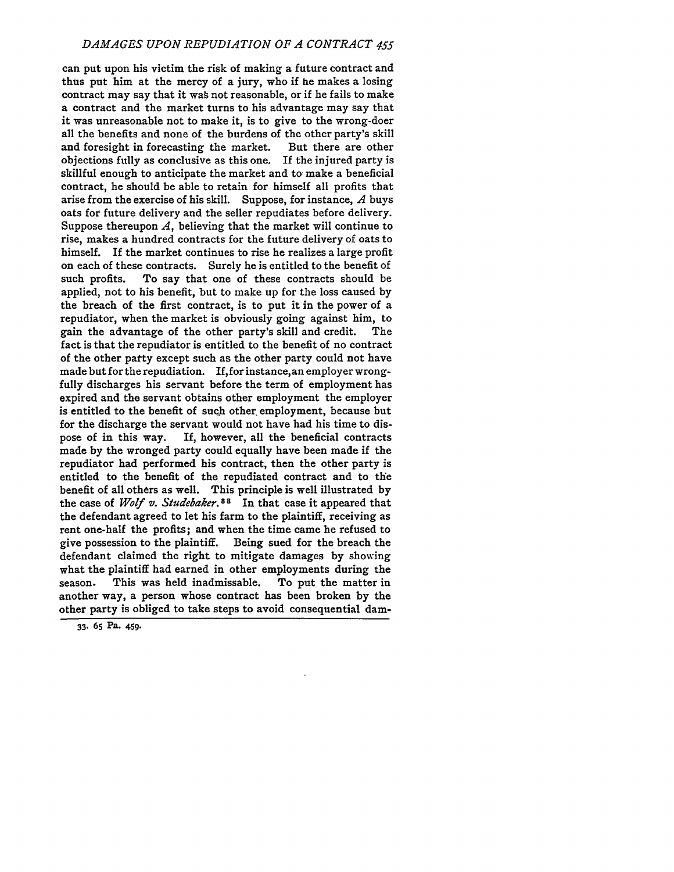can put upon his victim the risk of making a future contract and thus put him at the mercy of a jury, who if he makes a losing contract may say that it wa§ not reasonable, or if he fails to make a contract and the market turns to his advantage may say that it was unreasonable not to make it, is to give to the wrong-doer all the benefits and none of the burdens of the other party's skill and foresight in forecasting the market. But there are other objections fully as conclusive as this one. If the injured party is skillful enough to anticipate the market and to make a beneficial contract, he should be able to retain for himself all profits that arise from the exercise of his skill. Suppose, for instance, *A* buys oats for future delivery and the seller repudiates before delivery. Suppose thereupon *A,* believing that the market will continue to rise, makes a hundred contracts for the future delivery of oats to himself. If the market continues to rise he realizes a large profit on each of these contracts. Surely he is entitled to the benefit of such profits. To say that one of these contracts should be applied, not to his benefit, but to make up for the loss caused by the breach of the first contract, is to put it in the power of a repudiator, when the market is obviously going against him, to gain the advantage of the other party's skill and credit. The fact is that the repudiator is entitled to the benefit of no contract of the other patty except such as the other party could not have made but for the repudiation. If, for instance, an employer wrongfully discharges his servant before the term of employment has expired and the servant obtains other employment the employer is entitled to the benefit of such other employment, because but for the discharge the servant would not have had his time to dispose of in this way. If, however, all the beneficial contracts made by the wronged party could equally have been made if the repudiator had performed his contract, then the other party is entitled to the benefit of the repudiated contract and to the benefit of all others as well. This principle is well illustrated by the case of *Wolf v. Studebaker.3 8* In that case it appeared that the defendant agreed to let his farm to the plaintiff, receiving as rent one-half the profits; and when the time came he refused to give possession to the plaintiff. Being sued for the breach the defendant claimed the right to mitigate damages by showing what the plaintiff had earned in other employments during the season. This was held inadmissable. To put the matter in another way, a person whose contract has been broken by the other party is obliged to take steps to avoid consequential dam-

**<sup>33. 65</sup>** Pa. 459.